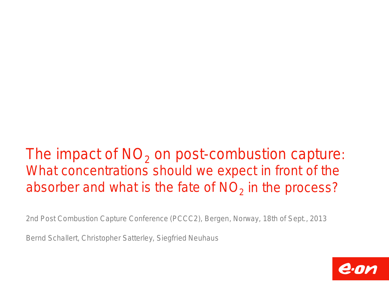# The impact of  $NO<sub>2</sub>$  on post-combustion capture: What concentrations should we expect in front of the absorber and what is the fate of  $NO<sub>2</sub>$  in the process?

2nd Post Combustion Capture Conference (PCCC2), Bergen, Norway, 18th of Sept., 2013

Bernd Schallert, Christopher Satterley, Siegfried Neuhaus

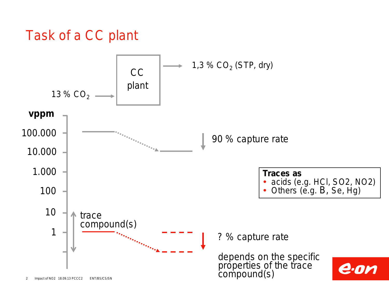## Task of a CC plant

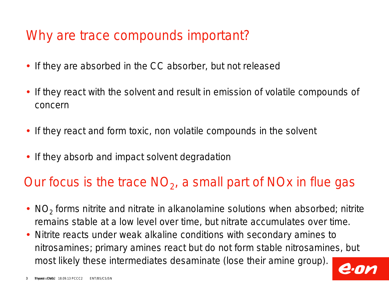#### Why are trace compounds important?

- If they are absorbed in the CC absorber, but not released
- If they react with the solvent and result in emission of volatile compounds of concern
- If they react and form toxic, non volatile compounds in the solvent
- If they absorb and impact solvent degradation

#### Our focus is the trace  $NO<sub>2</sub>$ , a small part of NOx in flue gas

- $\cdot$  NO<sub>2</sub> forms nitrite and nitrate in alkanolamine solutions when absorbed; nitrite remains stable at a low level over time, but nitrate accumulates over time.
- Nitrite reacts under weak alkaline conditions with secondary amines to nitrosamines; primary amines react but do not form stable nitrosamines, but most likely these intermediates desaminate (lose their amine group).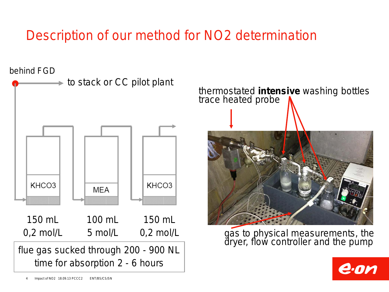# Description of our method for NO2 determination

behind FGD



thermostated **intensive** washing bottles trace heated probe



gas to physical measurements, the dryer, flow controller and the pump

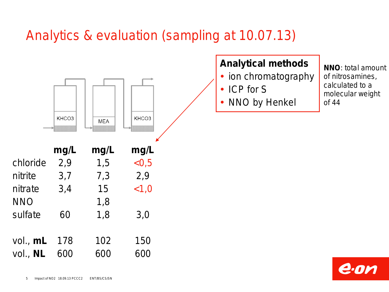## Analytics & evaluation (sampling at 10.07.13)



#### **Analytical methods**

- ion chromatography
- ICP for S
- NNO by Henkel

**NNO**: total amount of nitrosamines, calculated to a molecular weight of 44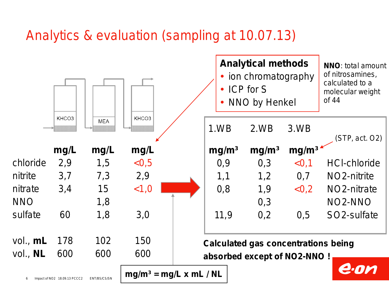## Analytics & evaluation (sampling at 10.07.13)

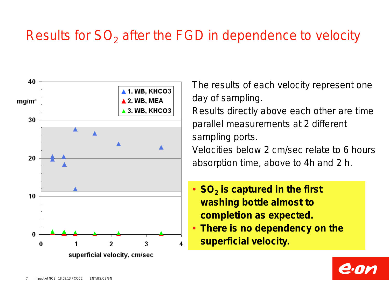## Results for  $SO<sub>2</sub>$  after the FGD in dependence to velocity



The results of each velocity represent one day of sampling. Results directly above each other are time parallel measurements at 2 different sampling ports. Velocities below 2 cm/sec relate to 6 hours absorption time, above to 4h and 2 h.

- SO<sub>2</sub> is captured in the first **washing bottle almost to completion as expected.**
- **There is no dependency on the superficial velocity.**

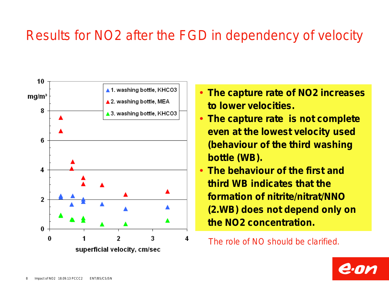## Results for NO2 after the FGD in dependency of velocity



- **The capture rate of NO2 increases to lower velocities.**
- **The capture rate is not complete even at the lowest velocity used (behaviour of the third washing bottle (WB).**
- **The behaviour of the first and third WB indicates that the formation of nitrite/nitrat/NNO (2.WB) does not depend only on the NO2 concentration.**

The role of NO should be clarified.

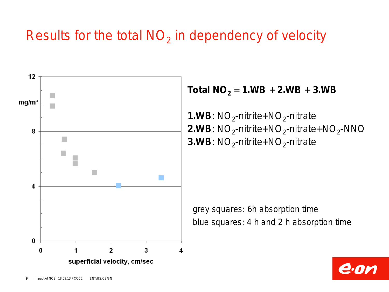## Results for the total  $NO<sub>2</sub>$  in dependency of velocity



#### **Total NO**<sub>2</sub> = **1.WB** + **2.WB** + **3.WB**

**1.WB:**  $NO<sub>2</sub>$ -nitrite+ $NO<sub>2</sub>$ -nitrate **2.WB:**  $NO<sub>2</sub>$ -nitrite+NO<sub>2</sub>-nitrate+NO<sub>2</sub>-NNO **3.WB:**  $NO<sub>2</sub>$ -nitrite+ $NO<sub>2</sub>$ -nitrate

grey squares: 6h absorption time blue squares: 4 h and 2 h absorption time

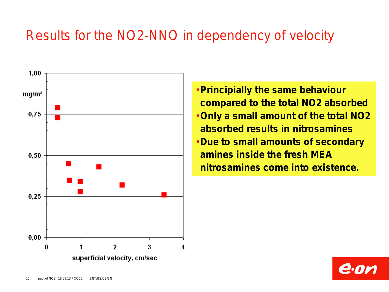## Results for the NO2-NNO in dependency of velocity



**Principially the same behaviour compared to the total NO2 absorbed Only a small amount of the total NO2 absorbed results in nitrosamines Due to small amounts of secondary amines inside the fresh MEA nitrosamines come into existence.**

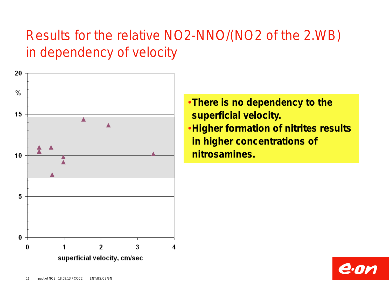# Results for the relative NO2-NNO/(NO2 of the 2.WB) in dependency of velocity



**There is no dependency to the superficial velocity. Higher formation of nitrites results in higher concentrations of nitrosamines.**

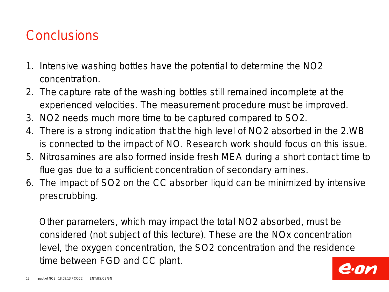## **Conclusions**

- 1. Intensive washing bottles have the potential to determine the NO2 concentration.
- 2. The capture rate of the washing bottles still remained incomplete at the experienced velocities. The measurement procedure must be improved.
- 3. NO2 needs much more time to be captured compared to SO2.
- 4. There is a strong indication that the high level of NO2 absorbed in the 2.WB is connected to the impact of NO. Research work should focus on this issue.
- 5. Nitrosamines are also formed inside fresh MEA during a short contact time to flue gas due to a sufficient concentration of secondary amines.
- 6. The impact of SO2 on the CC absorber liquid can be minimized by intensive prescrubbing.

 Other parameters, which may impact the total NO2 absorbed, must be considered (not subject of this lecture). These are the NOx concentration level, the oxygen concentration, the SO2 concentration and the residence time between FGD and CC plant.

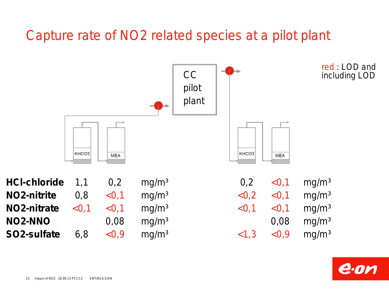## Capture rate of NO2 related species at a pilot plant



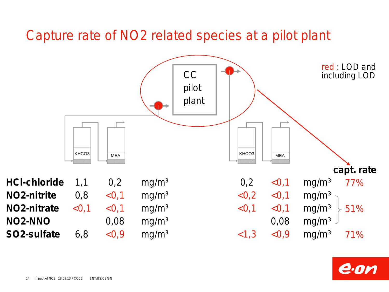#### Capture rate of NO2 related species at a pilot plant